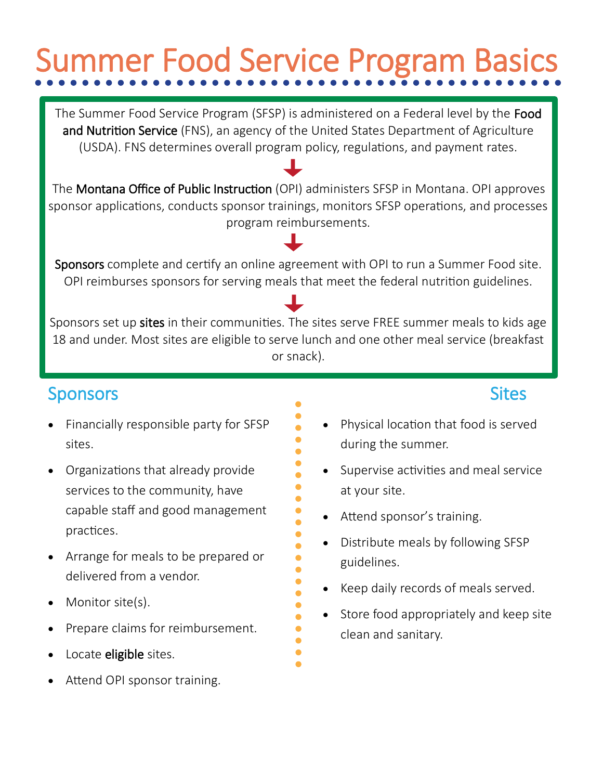# Summer Food Service Program Basics

The Summer Food Service Program (SFSP) is administered on a Federal level by the Food and Nutrition Service (FNS), an agency of the United States Department of Agriculture (USDA). FNS determines overall program policy, regulations, and payment rates.

The Montana Office of Public Instruction (OPI) administers SFSP in Montana. OPI approves sponsor applications, conducts sponsor trainings, monitors SFSP operations, and processes program reimbursements.

Sponsors complete and certify an online agreement with OPI to run a Summer Food site. OPI reimburses sponsors for serving meals that meet the federal nutrition guidelines.

Sponsors set up sites in their communities. The sites serve FREE summer meals to kids age 18 and under. Most sites are eligible to serve lunch and one other meal service (breakfast or snack).

 $\bullet$ 

 $\bullet$  $\bullet$ 

 $\bullet$ 

 $\bullet$ 

# **Sponsors**

- Financially responsible party for SFSP sites.
- Organizations that already provide services to the community, have capable staff and good management practices.
- Arrange for meals to be prepared or delivered from a vendor.
- Monitor site(s).
- Prepare claims for reimbursement.
- Locate eligible sites.
- Attend OPI sponsor training.

# **Sites**

- Physical location that food is served during the summer.
- Supervise activities and meal service at your site.
- Attend sponsor's training.
- Distribute meals by following SFSP guidelines.
- Keep daily records of meals served.
- Store food appropriately and keep site clean and sanitary.